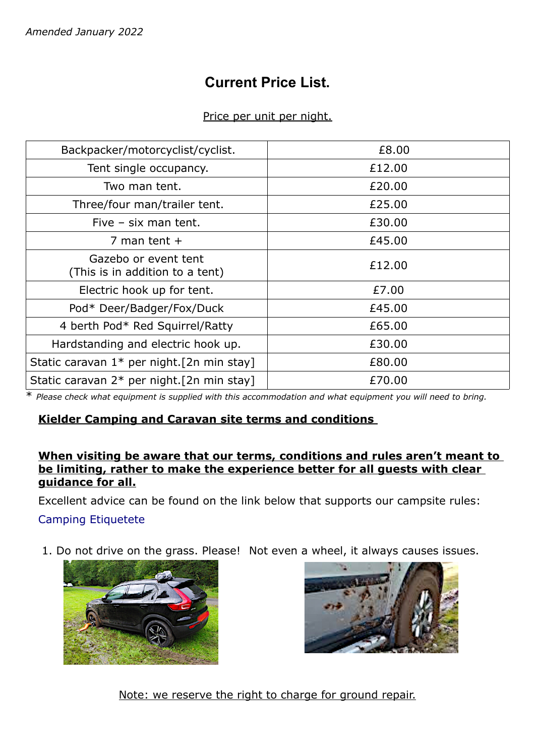# **Current Price List.**

## Price per unit per night.

| Backpacker/motorcyclist/cyclist.                        | £8.00  |
|---------------------------------------------------------|--------|
| Tent single occupancy.                                  | £12.00 |
| Two man tent.                                           | £20.00 |
| Three/four man/trailer tent.                            | £25.00 |
| Five $-$ six man tent.                                  | £30.00 |
| 7 man tent $+$                                          | £45.00 |
| Gazebo or event tent<br>(This is in addition to a tent) | £12.00 |
| Electric hook up for tent.                              | £7.00  |
| Pod* Deer/Badger/Fox/Duck                               | £45.00 |
| 4 berth Pod* Red Squirrel/Ratty                         | £65.00 |
| Hardstanding and electric hook up.                      | £30.00 |
| Static caravan $1*$ per night. [2n min stay]            | £80.00 |
| Static caravan 2* per night. [2n min stay]              | £70.00 |

\* *Please check what equipment is supplied with this accommodation and what equipment you will need to bring.*

## **Kielder Camping and Caravan site terms and conditions**

## **When visiting be aware that our terms, conditions and rules aren't meant to be limiting, rather to make the experience better for all guests with clear guidance for all.**

Excellent advice can be found on the link below that supports our campsite rules: [Camping Etiquetete](https://www.campsites.co.uk/guides/camping-for-beginners/camping-etiquette-and-campsite-rules)

1. Do not drive on the grass. Please! Not even a wheel, it always causes issues.





Note: we reserve the right to charge for ground repair.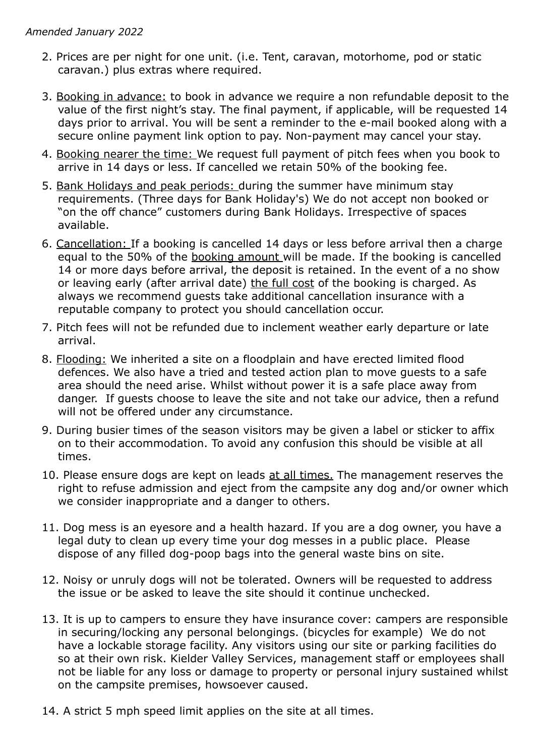- 2. Prices are per night for one unit. (i.e. Tent, caravan, motorhome, pod or static caravan.) plus extras where required.
- 3. Booking in advance: to book in advance we require a non refundable deposit to the value of the first night's stay. The final payment, if applicable, will be requested 14 days prior to arrival. You will be sent a reminder to the e-mail booked along with a secure online payment link option to pay. Non-payment may cancel your stay.
- 4. Booking nearer the time: We request full payment of pitch fees when you book to arrive in 14 days or less. If cancelled we retain 50% of the booking fee.
- 5. Bank Holidays and peak periods: during the summer have minimum stay requirements. (Three days for Bank Holiday's) We do not accept non booked or "on the off chance" customers during Bank Holidays. Irrespective of spaces available.
- 6. Cancellation: If a booking is cancelled 14 days or less before arrival then a charge equal to the 50% of the booking amount will be made. If the booking is cancelled 14 or more days before arrival, the deposit is retained. In the event of a no show or leaving early (after arrival date) the full cost of the booking is charged. As always we recommend guests take additional cancellation insurance with a reputable company to protect you should cancellation occur.
- 7. Pitch fees will not be refunded due to inclement weather early departure or late arrival.
- 8. Flooding: We inherited a site on a floodplain and have erected limited flood defences. We also have a tried and tested action plan to move guests to a safe area should the need arise. Whilst without power it is a safe place away from danger. If guests choose to leave the site and not take our advice, then a refund will not be offered under any circumstance.
- 9. During busier times of the season visitors may be given a label or sticker to affix on to their accommodation. To avoid any confusion this should be visible at all times.
- 10. Please ensure dogs are kept on leads at all times. The management reserves the right to refuse admission and eject from the campsite any dog and/or owner which we consider inappropriate and a danger to others.
- 11. Dog mess is an eyesore and a health hazard. If you are a dog owner, you have a legal duty to clean up every time your dog messes in a public place. Please dispose of any filled dog-poop bags into the general waste bins on site.
- 12. Noisy or unruly dogs will not be tolerated. Owners will be requested to address the issue or be asked to leave the site should it continue unchecked.
- 13. It is up to campers to ensure they have insurance cover: campers are responsible in securing/locking any personal belongings. (bicycles for example) We do not have a lockable storage facility. Any visitors using our site or parking facilities do so at their own risk. Kielder Valley Services, management staff or employees shall not be liable for any loss or damage to property or personal injury sustained whilst on the campsite premises, howsoever caused.
- 14. A strict 5 mph speed limit applies on the site at all times.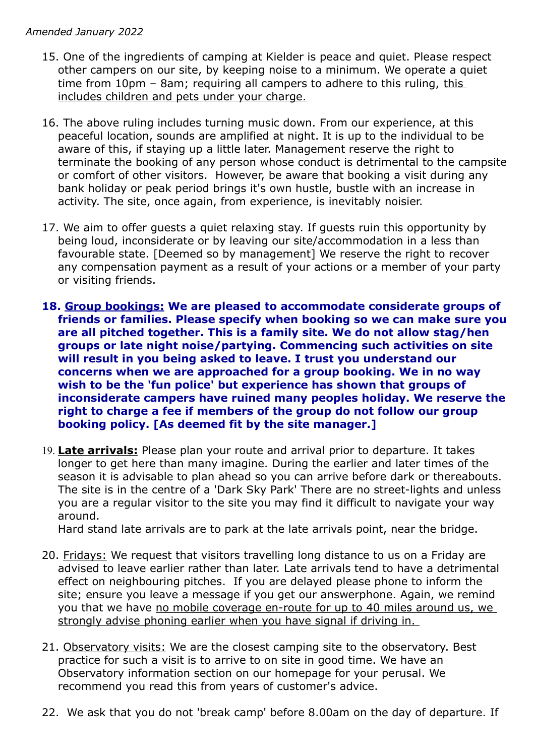- 15. One of the ingredients of camping at Kielder is peace and quiet. Please respect other campers on our site, by keeping noise to a minimum. We operate a quiet time from 10pm - 8am; requiring all campers to adhere to this ruling, this includes children and pets under your charge.
- 16. The above ruling includes turning music down. From our experience, at this peaceful location, sounds are amplified at night. It is up to the individual to be aware of this, if staying up a little later. Management reserve the right to terminate the booking of any person whose conduct is detrimental to the campsite or comfort of other visitors. However, be aware that booking a visit during any bank holiday or peak period brings it's own hustle, bustle with an increase in activity. The site, once again, from experience, is inevitably noisier.
- 17. We aim to offer guests a quiet relaxing stay. If guests ruin this opportunity by being loud, inconsiderate or by leaving our site/accommodation in a less than favourable state. [Deemed so by management] We reserve the right to recover any compensation payment as a result of your actions or a member of your party or visiting friends.
- **18. Group bookings: We are pleased to accommodate considerate groups of friends or families. Please specify when booking so we can make sure you are all pitched together. This is a family site. We do not allow stag/hen groups or late night noise/partying. Commencing such activities on site will result in you being asked to leave. I trust you understand our concerns when we are approached for a group booking. We in no way wish to be the 'fun police' but experience has shown that groups of inconsiderate campers have ruined many peoples holiday. We reserve the right to charge a fee if members of the group do not follow our group booking policy. [As deemed fit by the site manager.]**
- 19. Late arrivals: Please plan your route and arrival prior to departure. It takes longer to get here than many imagine. During the earlier and later times of the season it is advisable to plan ahead so you can arrive before dark or thereabouts. The site is in the centre of a 'Dark Sky Park' There are no street-lights and unless you are a regular visitor to the site you may find it difficult to navigate your way around.

Hard stand late arrivals are to park at the late arrivals point, near the bridge.

- 20. Fridays: We request that visitors travelling long distance to us on a Friday are advised to leave earlier rather than later. Late arrivals tend to have a detrimental effect on neighbouring pitches. If you are delayed please phone to inform the site; ensure you leave a message if you get our answerphone. Again, we remind you that we have no mobile coverage en-route for up to 40 miles around us, we strongly advise phoning earlier when you have signal if driving in.
- 21. Observatory visits: We are the closest camping site to the observatory. Best practice for such a visit is to arrive to on site in good time. We have an Observatory information section on our homepage for your perusal. We recommend you read this from years of customer's advice.
- 22. We ask that you do not 'break camp' before 8.00am on the day of departure. If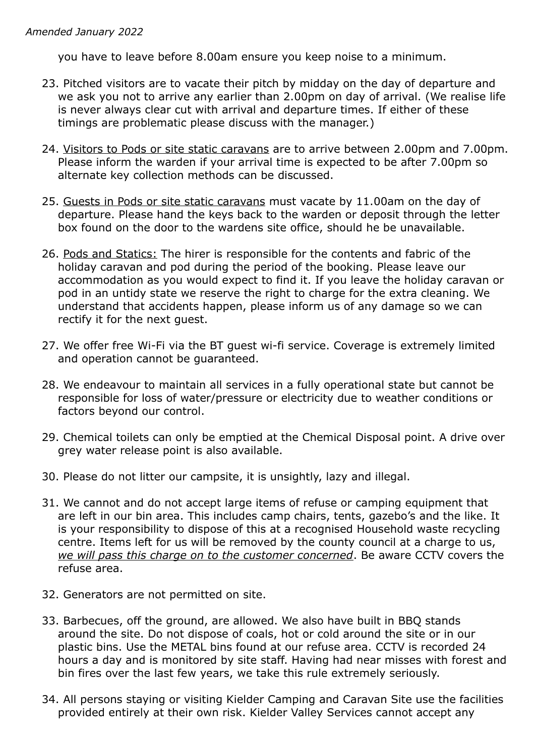you have to leave before 8.00am ensure you keep noise to a minimum.

- 23. Pitched visitors are to vacate their pitch by midday on the day of departure and we ask you not to arrive any earlier than 2.00pm on day of arrival. (We realise life is never always clear cut with arrival and departure times. If either of these timings are problematic please discuss with the manager.)
- 24. Visitors to Pods or site static caravans are to arrive between 2.00pm and 7.00pm. Please inform the warden if your arrival time is expected to be after 7.00pm so alternate key collection methods can be discussed.
- 25. Guests in Pods or site static caravans must vacate by 11.00am on the day of departure. Please hand the keys back to the warden or deposit through the letter box found on the door to the wardens site office, should he be unavailable.
- 26. Pods and Statics: The hirer is responsible for the contents and fabric of the holiday caravan and pod during the period of the booking. Please leave our accommodation as you would expect to find it. If you leave the holiday caravan or pod in an untidy state we reserve the right to charge for the extra cleaning. We understand that accidents happen, please inform us of any damage so we can rectify it for the next guest.
- 27. We offer free Wi-Fi via the BT guest wi-fi service. Coverage is extremely limited and operation cannot be guaranteed.
- 28. We endeavour to maintain all services in a fully operational state but cannot be responsible for loss of water/pressure or electricity due to weather conditions or factors beyond our control.
- 29. Chemical toilets can only be emptied at the Chemical Disposal point. A drive over grey water release point is also available.
- 30. Please do not litter our campsite, it is unsightly, lazy and illegal.
- 31. We cannot and do not accept large items of refuse or camping equipment that are left in our bin area. This includes camp chairs, tents, gazebo's and the like. It is your responsibility to dispose of this at a recognised Household waste recycling centre. Items left for us will be removed by the county council at a charge to us, *we will pass this charge on to the customer concerned*. Be aware CCTV covers the refuse area.
- 32. Generators are not permitted on site.
- 33. Barbecues, off the ground, are allowed. We also have built in BBQ stands around the site. Do not dispose of coals, hot or cold around the site or in our plastic bins. Use the METAL bins found at our refuse area. CCTV is recorded 24 hours a day and is monitored by site staff. Having had near misses with forest and bin fires over the last few years, we take this rule extremely seriously.
- 34. All persons staying or visiting Kielder Camping and Caravan Site use the facilities provided entirely at their own risk. Kielder Valley Services cannot accept any